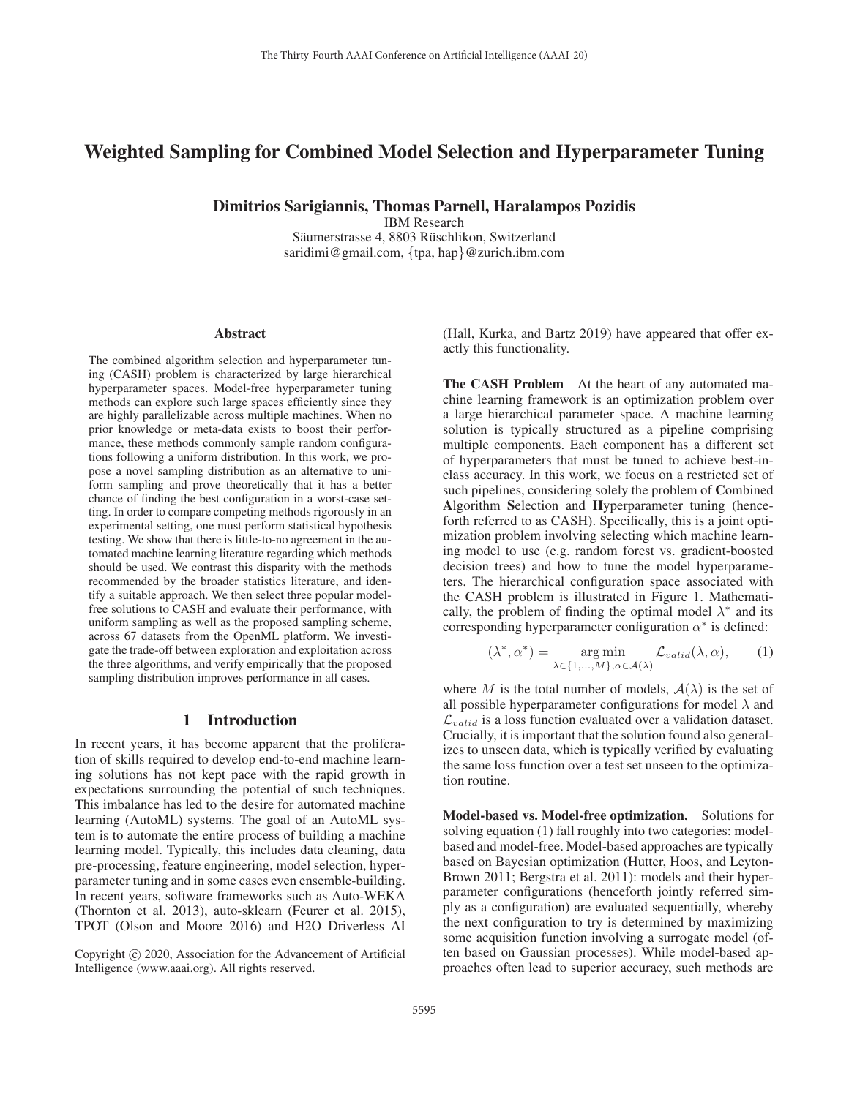# Weighted Sampling for Combined Model Selection and Hyperparameter Tuning

Dimitrios Sarigiannis, Thomas Parnell, Haralampos Pozidis

IBM Research

Säumerstrasse 4, 8803 Rüschlikon, Switzerland saridimi@gmail.com, {tpa, hap}@zurich.ibm.com

#### **Abstract**

The combined algorithm selection and hyperparameter tuning (CASH) problem is characterized by large hierarchical hyperparameter spaces. Model-free hyperparameter tuning methods can explore such large spaces efficiently since they are highly parallelizable across multiple machines. When no prior knowledge or meta-data exists to boost their performance, these methods commonly sample random configurations following a uniform distribution. In this work, we propose a novel sampling distribution as an alternative to uniform sampling and prove theoretically that it has a better chance of finding the best configuration in a worst-case setting. In order to compare competing methods rigorously in an experimental setting, one must perform statistical hypothesis testing. We show that there is little-to-no agreement in the automated machine learning literature regarding which methods should be used. We contrast this disparity with the methods recommended by the broader statistics literature, and identify a suitable approach. We then select three popular modelfree solutions to CASH and evaluate their performance, with uniform sampling as well as the proposed sampling scheme, across 67 datasets from the OpenML platform. We investigate the trade-off between exploration and exploitation across the three algorithms, and verify empirically that the proposed sampling distribution improves performance in all cases.

### 1 Introduction

In recent years, it has become apparent that the proliferation of skills required to develop end-to-end machine learning solutions has not kept pace with the rapid growth in expectations surrounding the potential of such techniques. This imbalance has led to the desire for automated machine learning (AutoML) systems. The goal of an AutoML system is to automate the entire process of building a machine learning model. Typically, this includes data cleaning, data pre-processing, feature engineering, model selection, hyperparameter tuning and in some cases even ensemble-building. In recent years, software frameworks such as Auto-WEKA (Thornton et al. 2013), auto-sklearn (Feurer et al. 2015), TPOT (Olson and Moore 2016) and H2O Driverless AI (Hall, Kurka, and Bartz 2019) have appeared that offer exactly this functionality.

The CASH Problem At the heart of any automated machine learning framework is an optimization problem over a large hierarchical parameter space. A machine learning solution is typically structured as a pipeline comprising multiple components. Each component has a different set of hyperparameters that must be tuned to achieve best-inclass accuracy. In this work, we focus on a restricted set of such pipelines, considering solely the problem of Combined Algorithm Selection and Hyperparameter tuning (henceforth referred to as CASH). Specifically, this is a joint optimization problem involving selecting which machine learning model to use (e.g. random forest vs. gradient-boosted decision trees) and how to tune the model hyperparameters. The hierarchical configuration space associated with the CASH problem is illustrated in Figure 1. Mathematically, the problem of finding the optimal model  $\lambda^*$  and its corresponding hyperparameter configuration  $\alpha^*$  is defined:

$$
(\lambda^*, \alpha^*) = \underset{\lambda \in \{1, \dots, M\}, \alpha \in \mathcal{A}(\lambda)}{\arg \min} \mathcal{L}_{valid}(\lambda, \alpha), \qquad (1)
$$

where M is the total number of models,  $A(\lambda)$  is the set of all possible hyperparameter configurations for model  $\lambda$  and  $\mathcal{L}_{valid}$  is a loss function evaluated over a validation dataset. Crucially, it is important that the solution found also generalizes to unseen data, which is typically verified by evaluating the same loss function over a test set unseen to the optimization routine.

Model-based vs. Model-free optimization. Solutions for solving equation (1) fall roughly into two categories: modelbased and model-free. Model-based approaches are typically based on Bayesian optimization (Hutter, Hoos, and Leyton-Brown 2011; Bergstra et al. 2011): models and their hyperparameter configurations (henceforth jointly referred simply as a configuration) are evaluated sequentially, whereby the next configuration to try is determined by maximizing some acquisition function involving a surrogate model (often based on Gaussian processes). While model-based approaches often lead to superior accuracy, such methods are

Copyright  $\odot$  2020, Association for the Advancement of Artificial Intelligence (www.aaai.org). All rights reserved.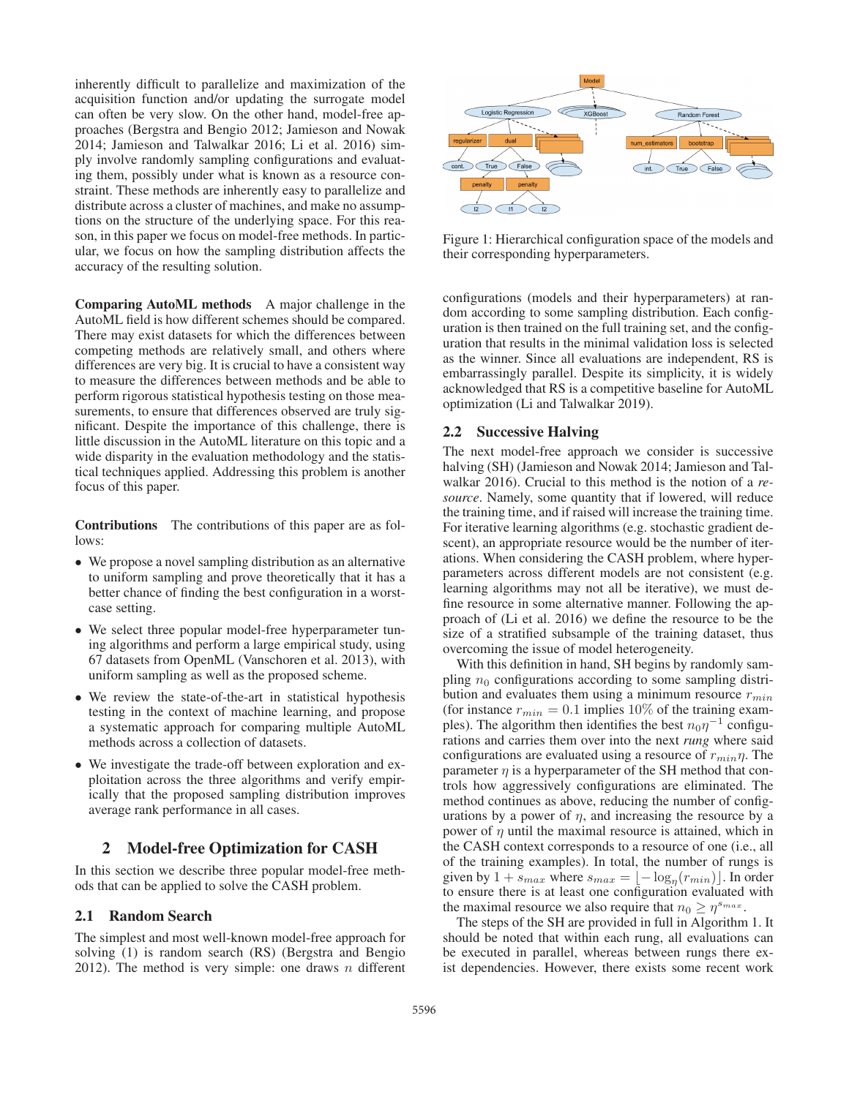inherently difficult to parallelize and maximization of the acquisition function and/or updating the surrogate model can often be very slow. On the other hand, model-free approaches (Bergstra and Bengio 2012; Jamieson and Nowak 2014; Jamieson and Talwalkar 2016; Li et al. 2016) simply involve randomly sampling configurations and evaluating them, possibly under what is known as a resource constraint. These methods are inherently easy to parallelize and distribute across a cluster of machines, and make no assumptions on the structure of the underlying space. For this reason, in this paper we focus on model-free methods. In particular, we focus on how the sampling distribution affects the accuracy of the resulting solution.

Comparing AutoML methods A major challenge in the AutoML field is how different schemes should be compared. There may exist datasets for which the differences between competing methods are relatively small, and others where differences are very big. It is crucial to have a consistent way to measure the differences between methods and be able to perform rigorous statistical hypothesis testing on those measurements, to ensure that differences observed are truly significant. Despite the importance of this challenge, there is little discussion in the AutoML literature on this topic and a wide disparity in the evaluation methodology and the statistical techniques applied. Addressing this problem is another focus of this paper.

Contributions The contributions of this paper are as follows:

- We propose a novel sampling distribution as an alternative to uniform sampling and prove theoretically that it has a better chance of finding the best configuration in a worstcase setting.
- We select three popular model-free hyperparameter tuning algorithms and perform a large empirical study, using 67 datasets from OpenML (Vanschoren et al. 2013), with uniform sampling as well as the proposed scheme.
- We review the state-of-the-art in statistical hypothesis testing in the context of machine learning, and propose a systematic approach for comparing multiple AutoML methods across a collection of datasets.
- We investigate the trade-off between exploration and exploitation across the three algorithms and verify empirically that the proposed sampling distribution improves average rank performance in all cases.

# 2 Model-free Optimization for CASH

In this section we describe three popular model-free methods that can be applied to solve the CASH problem.

## 2.1 Random Search

The simplest and most well-known model-free approach for solving (1) is random search (RS) (Bergstra and Bengio 2012). The method is very simple: one draws  $n$  different



Figure 1: Hierarchical configuration space of the models and their corresponding hyperparameters.

configurations (models and their hyperparameters) at random according to some sampling distribution. Each configuration is then trained on the full training set, and the configuration that results in the minimal validation loss is selected as the winner. Since all evaluations are independent, RS is embarrassingly parallel. Despite its simplicity, it is widely acknowledged that RS is a competitive baseline for AutoML optimization (Li and Talwalkar 2019).

### 2.2 Successive Halving

The next model-free approach we consider is successive halving (SH) (Jamieson and Nowak 2014; Jamieson and Talwalkar 2016). Crucial to this method is the notion of a *resource*. Namely, some quantity that if lowered, will reduce the training time, and if raised will increase the training time. For iterative learning algorithms (e.g. stochastic gradient descent), an appropriate resource would be the number of iterations. When considering the CASH problem, where hyperparameters across different models are not consistent (e.g. learning algorithms may not all be iterative), we must define resource in some alternative manner. Following the approach of (Li et al. 2016) we define the resource to be the size of a stratified subsample of the training dataset, thus overcoming the issue of model heterogeneity.

With this definition in hand, SH begins by randomly sampling  $n_0$  configurations according to some sampling distribution and evaluates them using a minimum resource  $r_{min}$ (for instance  $r_{min} = 0.1$  implies 10% of the training examples). The algorithm then identifies the best  $n_0\eta^{-1}$  configurations and carries them over into the next *rung* where said configurations are evaluated using a resource of  $r_{min} \eta$ . The parameter  $\eta$  is a hyperparameter of the SH method that controls how aggressively configurations are eliminated. The method continues as above, reducing the number of configurations by a power of  $\eta$ , and increasing the resource by a power of  $\eta$  until the maximal resource is attained, which in the CASH context corresponds to a resource of one (i.e., all of the training examples). In total, the number of rungs is given by  $1 + s_{max}$  where  $s_{max} = \lfloor -\log_{\eta}(r_{min}) \rfloor$ . In order to ensure there is at least one configuration evaluated with to ensure there is at least one configuration evaluated with the maximal resource we also require that  $n_0 \geq \eta^{s_{max}}$ .

The steps of the SH are provided in full in Algorithm 1. It should be noted that within each rung, all evaluations can be executed in parallel, whereas between rungs there exist dependencies. However, there exists some recent work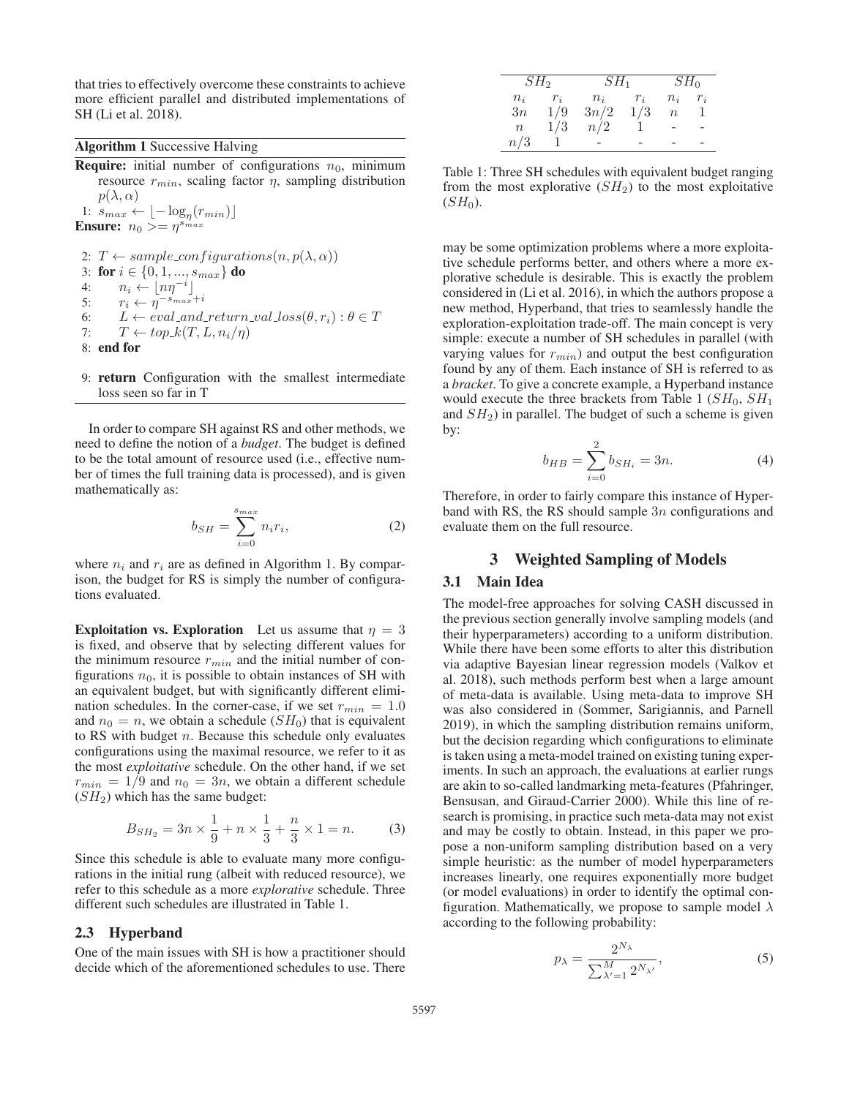that tries to effectively overcome these constraints to achieve more efficient parallel and distributed implementations of SH (Li et al. 2018).

#### Algorithm 1 Successive Halving

**Require:** initial number of configurations  $n_0$ , minimum resource  $r_{min}$ , scaling factor  $\eta$ , sampling distribution  $p(\lambda, \alpha)$ 1:  $s_{max} \leftarrow \lfloor -\log_{\eta}(r_{min}) \rfloor$ <br> **hsure:**  $n_0 \geq n^{s_{max}}$ **Ensure:**  $n_0 \geq \eta^{s_{max}}$ 

2:  $T \leftarrow sample\_configurations(n, p(\lambda, \alpha))$ 3: for  $i \in \{0, 1, ..., s_{max}\}$  do<br>4:  $n_i \leftarrow |n n^{-i}|$ 4:  $n_i \leftarrow \lfloor n\eta^{-i} \rfloor$ 5:  $r_i \leftarrow \eta^{-s_{max}+i}$ 6:  $L \leftarrow eval\_and\_return\_val\_loss(\theta, r_i) : \theta \in T$ <br>7:  $T \leftarrow ton \ k(T, L, n_i/n)$  $T \leftarrow top_k(T, L, n_i/\eta)$ 8: end for

9: return Configuration with the smallest intermediate loss seen so far in T

In order to compare SH against RS and other methods, we need to define the notion of a *budget*. The budget is defined to be the total amount of resource used (i.e., effective number of times the full training data is processed), and is given mathematically as:

$$
b_{SH} = \sum_{i=0}^{s_{max}} n_i r_i,
$$
\n<sup>(2)</sup>

where  $n_i$  and  $r_i$  are as defined in Algorithm 1. By comparison, the budget for RS is simply the number of configurations evaluated.

Exploitation vs. Exploration Let us assume that  $\eta = 3$ is fixed, and observe that by selecting different values for the minimum resource  $r_{min}$  and the initial number of configurations  $n_0$ , it is possible to obtain instances of SH with an equivalent budget, but with significantly different elimination schedules. In the corner-case, if we set  $r_{min} = 1.0$ and  $n_0 = n$ , we obtain a schedule  $(SH_0)$  that is equivalent to RS with budget  $n$ . Because this schedule only evaluates configurations using the maximal resource, we refer to it as the most *exploitative* schedule. On the other hand, if we set  $r_{min} = 1/9$  and  $n_0 = 3n$ , we obtain a different schedule  $(SH<sub>2</sub>)$  which has the same budget:

$$
B_{SH_2} = 3n \times \frac{1}{9} + n \times \frac{1}{3} + \frac{n}{3} \times 1 = n.
$$
 (3)  
Since this schedule is able to evaluate many more configu-

rations in the initial rung (albeit with reduced resource), we refer to this schedule as a more *explorative* schedule. Three different such schedules are illustrated in Table 1.

#### 2.3 Hyperband

One of the main issues with SH is how a practitioner should decide which of the aforementioned schedules to use. There

| SH <sub>2</sub>  |       | $SH_1$ | $SH_0$ |                  |       |
|------------------|-------|--------|--------|------------------|-------|
| $n_i$            | $r_i$ | $n_i$  | $r_i$  | $n_i$            | $r_i$ |
| 3n               | 1/9   | 3n/2   | 1/3    | $\boldsymbol{n}$ |       |
| $\boldsymbol{n}$ | 1/3   | n/2    |        |                  |       |
| n/3              |       |        |        |                  |       |
|                  |       |        |        |                  |       |

Table 1: Three SH schedules with equivalent budget ranging from the most explorative  $(SH<sub>2</sub>)$  to the most exploitative  $(SH<sub>0</sub>)$ .

may be some optimization problems where a more exploitative schedule performs better, and others where a more explorative schedule is desirable. This is exactly the problem considered in (Li et al. 2016), in which the authors propose a new method, Hyperband, that tries to seamlessly handle the exploration-exploitation trade-off. The main concept is very simple: execute a number of SH schedules in parallel (with varying values for  $r_{min}$ ) and output the best configuration found by any of them. Each instance of SH is referred to as a *bracket*. To give a concrete example, a Hyperband instance would execute the three brackets from Table 1 ( $SH_0$ ,  $SH_1$ ) and  $SH<sub>2</sub>$ ) in parallel. The budget of such a scheme is given by:

$$
b_{HB} = \sum_{i=0}^{2} b_{SH_i} = 3n.
$$
 (4)

Therefore, in order to fairly compare this instance of Hyperband with RS, the RS should sample  $3n$  configurations and evaluate them on the full resource.

# 3 Weighted Sampling of Models

#### 3.1 Main Idea

The model-free approaches for solving CASH discussed in the previous section generally involve sampling models (and their hyperparameters) according to a uniform distribution. While there have been some efforts to alter this distribution via adaptive Bayesian linear regression models (Valkov et al. 2018), such methods perform best when a large amount of meta-data is available. Using meta-data to improve SH was also considered in (Sommer, Sarigiannis, and Parnell 2019), in which the sampling distribution remains uniform, but the decision regarding which configurations to eliminate is taken using a meta-model trained on existing tuning experiments. In such an approach, the evaluations at earlier rungs are akin to so-called landmarking meta-features (Pfahringer, Bensusan, and Giraud-Carrier 2000). While this line of research is promising, in practice such meta-data may not exist and may be costly to obtain. Instead, in this paper we propose a non-uniform sampling distribution based on a very simple heuristic: as the number of model hyperparameters increases linearly, one requires exponentially more budget (or model evaluations) in order to identify the optimal configuration. Mathematically, we propose to sample model  $\lambda$ according to the following probability:

$$
p_{\lambda} = \frac{2^{N_{\lambda}}}{\sum_{\lambda'=1}^{M} 2^{N_{\lambda'}}},\tag{5}
$$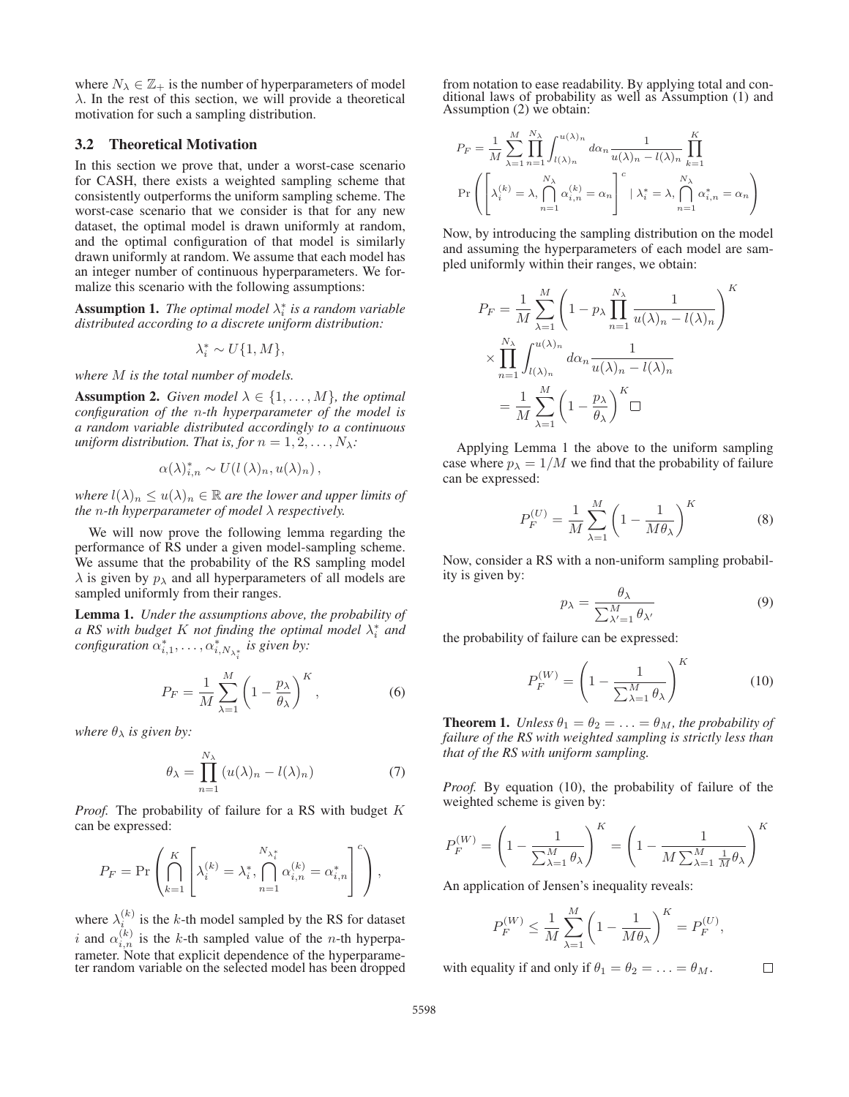where  $N_{\lambda} \in \mathbb{Z}_+$  is the number of hyperparameters of model  $\lambda$ . In the rest of this section, we will provide a theoretical motivation for such a sampling distribution.

### 3.2 Theoretical Motivation

In this section we prove that, under a worst-case scenario for CASH, there exists a weighted sampling scheme that consistently outperforms the uniform sampling scheme. The worst-case scenario that we consider is that for any new dataset, the optimal model is drawn uniformly at random, and the optimal configuration of that model is similarly drawn uniformly at random. We assume that each model has an integer number of continuous hyperparameters. We formalize this scenario with the following assumptions:

**Assumption 1.** *The optimal model*  $\lambda_i^*$  *is a random variable distributed according to a discrete uniform distribution:*

 $\lambda_i^* \sim U\{1, M\},\,$ 

*where* M *is the total number of models.*

**Assumption 2.** *Given model*  $\lambda \in \{1, ..., M\}$ *, the optimal configuration of the* n*-th hyperparameter of the model is a random variable distributed accordingly to a continuous uniform distribution. That is, for*  $n = 1, 2, \ldots, N_\lambda$ :

$$
\alpha(\lambda)_{i,n}^* \sim U(l(\lambda)_n, u(\lambda)_n),
$$

*where*  $l(\lambda)_n \leq u(\lambda)_n \in \mathbb{R}$  *are the lower and upper limits of the* n*-th hyperparameter of model* λ *respectively.*

We will now prove the following lemma regarding the performance of RS under a given model-sampling scheme. We assume that the probability of the RS sampling model  $\lambda$  is given by  $p_{\lambda}$  and all hyperparameters of all models are sampled uniformly from their ranges.

Lemma 1. *Under the assumptions above, the probability of a* RS with budget K not finding the optimal model  $\lambda_i^*$  and  $\epsilon$ *configuration*  $\alpha^*_{i,1}, \ldots, \alpha^*_{i,N_{\lambda^*_i}}$  *is given by:* 

$$
P_F = \frac{1}{M} \sum_{\lambda=1}^{M} \left( 1 - \frac{p_{\lambda}}{\theta_{\lambda}} \right)^K, \tag{6}
$$

*where*  $\theta_{\lambda}$  *is given by:* 

$$
\theta_{\lambda} = \prod_{n=1}^{N_{\lambda}} \left( u(\lambda)_n - l(\lambda)_n \right) \tag{7}
$$

*Proof.* The probability of failure for a RS with budget K can be expressed:

$$
P_F = \Pr\left(\bigcap_{k=1}^K \left[\lambda_i^{(k)} = \lambda_i^*, \bigcap_{n=1}^{N_{\lambda_i^*}} \alpha_{i,n}^{(k)} = \alpha_{i,n}^*\right]^c\right),
$$

where  $\lambda_i^{(k)}$  is the k-th model sampled by the RS for dataset i and  $\alpha_{i,n}^{(k)}$  is the k-th sampled value of the n-th hyperparameter. Note that explicit dependence of the hyperparameter random variable on the selected model has been dropped

from notation to ease readability. By applying total and conditional laws of probability as well as Assumption (1) and Assumption (2) we obtain:

$$
P_F = \frac{1}{M} \sum_{\lambda=1}^{M} \prod_{n=1}^{N_{\lambda}} \int_{l(\lambda)_n}^{u(\lambda)_n} d\alpha_n \frac{1}{u(\lambda)_n - l(\lambda)_n} \prod_{k=1}^{K}
$$
  
Pr $\left(\left[\lambda_i^{(k)} = \lambda, \bigcap_{n=1}^{N_{\lambda}} \alpha_{i,n}^{(k)} = \alpha_n\right]^c | \lambda_i^* = \lambda, \bigcap_{n=1}^{N_{\lambda}} \alpha_{i,n}^* = \alpha_n\right)$ 

Now, by introducing the sampling distribution on the model and assuming the hyperparameters of each model are sampled uniformly within their ranges, we obtain:

$$
P_F = \frac{1}{M} \sum_{\lambda=1}^{M} \left( 1 - p_{\lambda} \prod_{n=1}^{N_{\lambda}} \frac{1}{u(\lambda)_n - l(\lambda)_n} \right)^K
$$

$$
\times \prod_{n=1}^{N_{\lambda}} \int_{l(\lambda)_n}^{u(\lambda)_n} d\alpha_n \frac{1}{u(\lambda)_n - l(\lambda)_n}
$$

$$
= \frac{1}{M} \sum_{\lambda=1}^{M} \left( 1 - \frac{p_{\lambda}}{\theta_{\lambda}} \right)^K \Box
$$

Applying Lemma 1 the above to the uniform sampling case where  $p_{\lambda} = 1/M$  we find that the probability of failure can be expressed:

$$
P_F^{(U)} = \frac{1}{M} \sum_{\lambda=1}^{M} \left( 1 - \frac{1}{M \theta_{\lambda}} \right)^K \tag{8}
$$

Now, consider a RS with a non-uniform sampling probability is given by:

$$
p_{\lambda} = \frac{\theta_{\lambda}}{\sum_{\lambda'=1}^{M} \theta_{\lambda'}} \tag{9}
$$

the probability of failure can be expressed:

$$
P_F^{(W)} = \left(1 - \frac{1}{\sum_{\lambda=1}^M \theta_{\lambda}}\right)^K \tag{10}
$$

**Theorem 1.** *Unless*  $\theta_1 = \theta_2 = \ldots = \theta_M$ , the probability of *failure of the RS with weighted sampling is strictly less than that of the RS with uniform sampling.*

*Proof.* By equation (10), the probability of failure of the weighted scheme is given by:

$$
P_F^{(W)} = \left(1 - \frac{1}{\sum_{\lambda=1}^M \theta_{\lambda}}\right)^K = \left(1 - \frac{1}{M \sum_{\lambda=1}^M \frac{1}{M} \theta_{\lambda}}\right)^K
$$

An application of Jensen's inequality reveals:

$$
P_F^{(W)} \le \frac{1}{M} \sum_{\lambda=1}^{M} \left(1 - \frac{1}{M\theta_{\lambda}}\right)^K = P_F^{(U)},
$$

with equality if and only if  $\theta_1 = \theta_2 = \ldots = \theta_M$ .

 $\Box$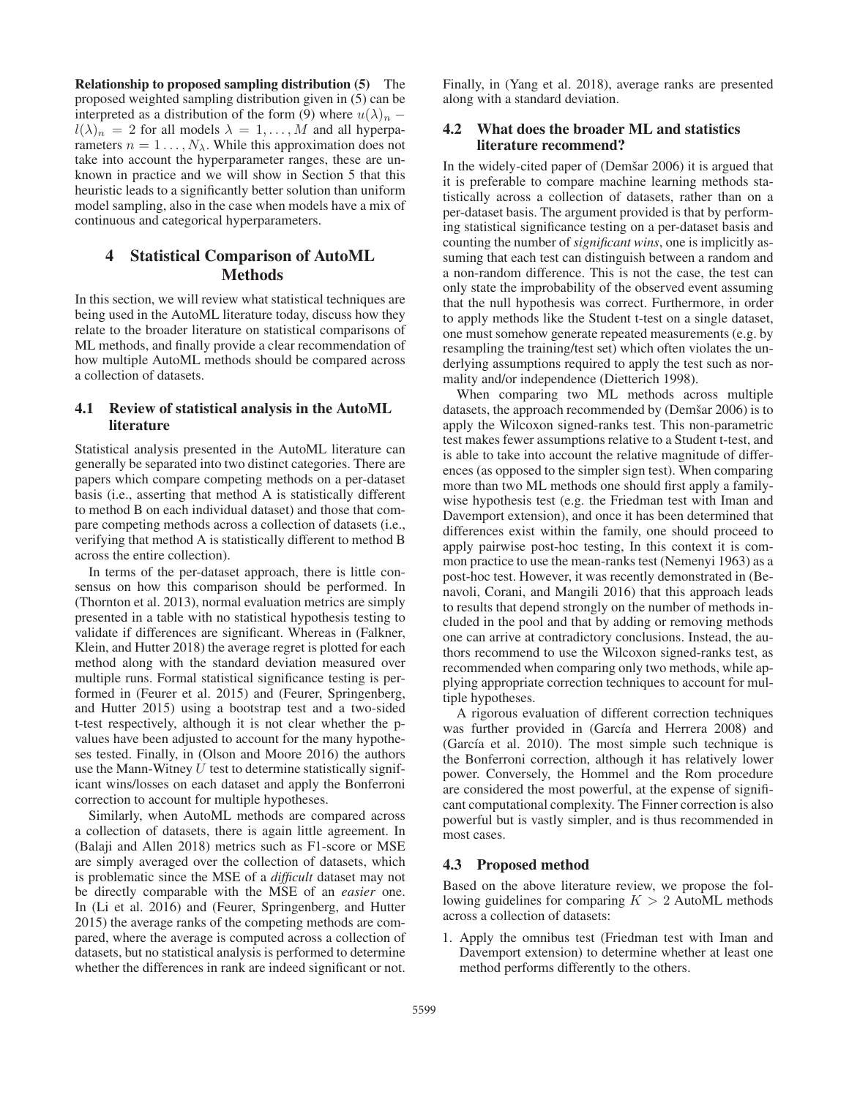Relationship to proposed sampling distribution (5) The proposed weighted sampling distribution given in (5) can be interpreted as a distribution of the form (9) where  $u(\lambda)_n$  –  $l(\lambda)_n = 2$  for all models  $\lambda = 1, \ldots, M$  and all hyperparameters  $n = 1 \dots, N_{\lambda}$ . While this approximation does not take into account the hyperparameter ranges, these are unknown in practice and we will show in Section 5 that this heuristic leads to a significantly better solution than uniform model sampling, also in the case when models have a mix of continuous and categorical hyperparameters.

# 4 Statistical Comparison of AutoML Methods

In this section, we will review what statistical techniques are being used in the AutoML literature today, discuss how they relate to the broader literature on statistical comparisons of ML methods, and finally provide a clear recommendation of how multiple AutoML methods should be compared across a collection of datasets.

# 4.1 Review of statistical analysis in the AutoML literature

Statistical analysis presented in the AutoML literature can generally be separated into two distinct categories. There are papers which compare competing methods on a per-dataset basis (i.e., asserting that method A is statistically different to method B on each individual dataset) and those that compare competing methods across a collection of datasets (i.e., verifying that method A is statistically different to method B across the entire collection).

In terms of the per-dataset approach, there is little consensus on how this comparison should be performed. In (Thornton et al. 2013), normal evaluation metrics are simply presented in a table with no statistical hypothesis testing to validate if differences are significant. Whereas in (Falkner, Klein, and Hutter 2018) the average regret is plotted for each method along with the standard deviation measured over multiple runs. Formal statistical significance testing is performed in (Feurer et al. 2015) and (Feurer, Springenberg, and Hutter 2015) using a bootstrap test and a two-sided t-test respectively, although it is not clear whether the pvalues have been adjusted to account for the many hypotheses tested. Finally, in (Olson and Moore 2016) the authors use the Mann-Witney  $U$  test to determine statistically significant wins/losses on each dataset and apply the Bonferroni correction to account for multiple hypotheses.

Similarly, when AutoML methods are compared across a collection of datasets, there is again little agreement. In (Balaji and Allen 2018) metrics such as F1-score or MSE are simply averaged over the collection of datasets, which is problematic since the MSE of a *difficult* dataset may not be directly comparable with the MSE of an *easier* one. In (Li et al. 2016) and (Feurer, Springenberg, and Hutter 2015) the average ranks of the competing methods are compared, where the average is computed across a collection of datasets, but no statistical analysis is performed to determine whether the differences in rank are indeed significant or not.

Finally, in (Yang et al. 2018), average ranks are presented along with a standard deviation.

# 4.2 What does the broader ML and statistics literature recommend?

In the widely-cited paper of (Demšar 2006) it is argued that it is preferable to compare machine learning methods statistically across a collection of datasets, rather than on a per-dataset basis. The argument provided is that by performing statistical significance testing on a per-dataset basis and counting the number of *significant wins*, one is implicitly assuming that each test can distinguish between a random and a non-random difference. This is not the case, the test can only state the improbability of the observed event assuming that the null hypothesis was correct. Furthermore, in order to apply methods like the Student t-test on a single dataset, one must somehow generate repeated measurements (e.g. by resampling the training/test set) which often violates the underlying assumptions required to apply the test such as normality and/or independence (Dietterich 1998).

When comparing two ML methods across multiple datasets, the approach recommended by (Demšar 2006) is to apply the Wilcoxon signed-ranks test. This non-parametric test makes fewer assumptions relative to a Student t-test, and is able to take into account the relative magnitude of differences (as opposed to the simpler sign test). When comparing more than two ML methods one should first apply a familywise hypothesis test (e.g. the Friedman test with Iman and Davemport extension), and once it has been determined that differences exist within the family, one should proceed to apply pairwise post-hoc testing, In this context it is common practice to use the mean-ranks test (Nemenyi 1963) as a post-hoc test. However, it was recently demonstrated in (Benavoli, Corani, and Mangili 2016) that this approach leads to results that depend strongly on the number of methods included in the pool and that by adding or removing methods one can arrive at contradictory conclusions. Instead, the authors recommend to use the Wilcoxon signed-ranks test, as recommended when comparing only two methods, while applying appropriate correction techniques to account for multiple hypotheses.

A rigorous evaluation of different correction techniques was further provided in (García and Herrera 2008) and (García et al. 2010). The most simple such technique is the Bonferroni correction, although it has relatively lower power. Conversely, the Hommel and the Rom procedure are considered the most powerful, at the expense of significant computational complexity. The Finner correction is also powerful but is vastly simpler, and is thus recommended in most cases.

## 4.3 Proposed method

Based on the above literature review, we propose the following guidelines for comparing  $K > 2$  AutoML methods across a collection of datasets:

1. Apply the omnibus test (Friedman test with Iman and Davemport extension) to determine whether at least one method performs differently to the others.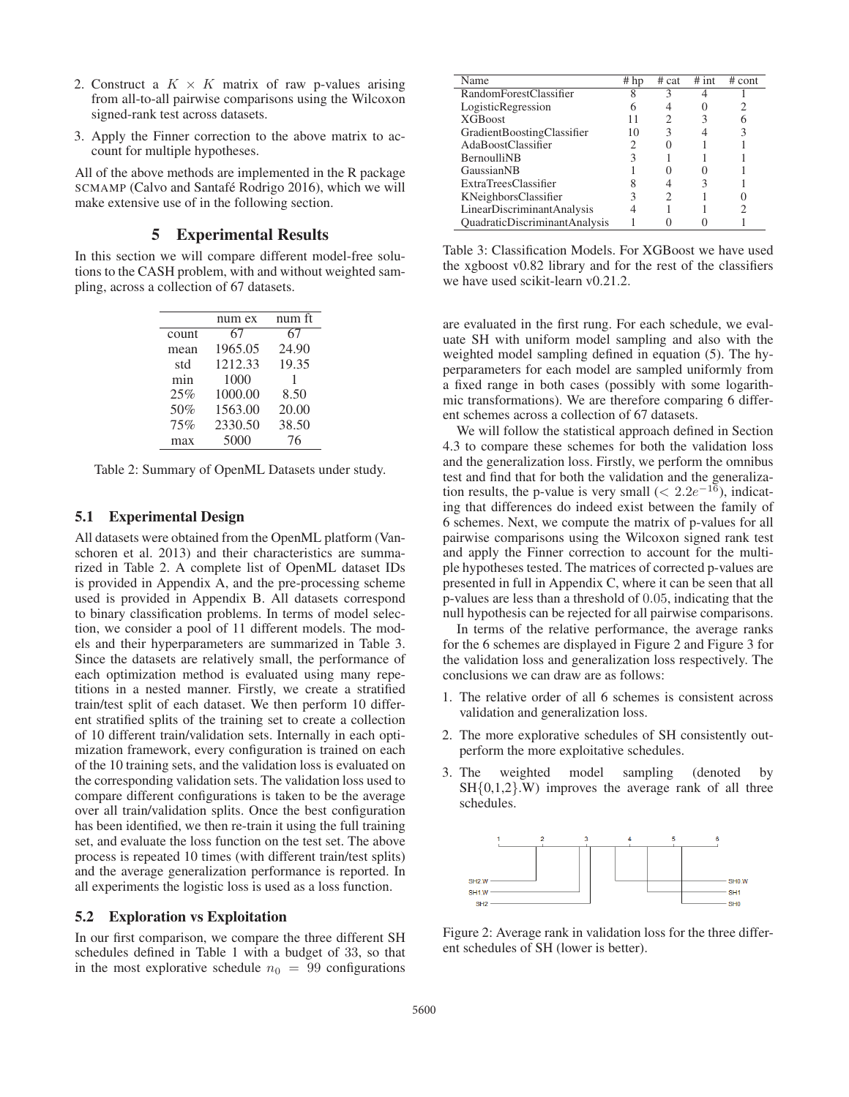- 2. Construct a  $K \times K$  matrix of raw p-values arising from all-to-all pairwise comparisons using the Wilcoxon signed-rank test across datasets.
- 3. Apply the Finner correction to the above matrix to account for multiple hypotheses.

All of the above methods are implemented in the R package SCMAMP (Calvo and Santafé Rodrigo 2016), which we will make extensive use of in the following section.

# 5 Experimental Results

In this section we will compare different model-free solutions to the CASH problem, with and without weighted sampling, across a collection of 67 datasets.

|       | num ex  | num ft |
|-------|---------|--------|
| count | 67      | 67     |
| mean  | 1965.05 | 24.90  |
| std   | 1212.33 | 19.35  |
| min   | 1000    | 1      |
| 25%   | 1000.00 | 8.50   |
| 50%   | 1563.00 | 20.00  |
| 75%   | 2330.50 | 38.50  |
| max   | 5000    | 76     |

Table 2: Summary of OpenML Datasets under study.

# 5.1 Experimental Design

All datasets were obtained from the OpenML platform (Vanschoren et al. 2013) and their characteristics are summarized in Table 2. A complete list of OpenML dataset IDs is provided in Appendix A, and the pre-processing scheme used is provided in Appendix B. All datasets correspond to binary classification problems. In terms of model selection, we consider a pool of 11 different models. The models and their hyperparameters are summarized in Table 3. Since the datasets are relatively small, the performance of each optimization method is evaluated using many repetitions in a nested manner. Firstly, we create a stratified train/test split of each dataset. We then perform 10 different stratified splits of the training set to create a collection of 10 different train/validation sets. Internally in each optimization framework, every configuration is trained on each of the 10 training sets, and the validation loss is evaluated on the corresponding validation sets. The validation loss used to compare different configurations is taken to be the average over all train/validation splits. Once the best configuration has been identified, we then re-train it using the full training set, and evaluate the loss function on the test set. The above process is repeated 10 times (with different train/test splits) and the average generalization performance is reported. In all experiments the logistic loss is used as a loss function.

#### 5.2 Exploration vs Exploitation

In our first comparison, we compare the three different SH schedules defined in Table 1 with a budget of 33, so that in the most explorative schedule  $n_0 = 99$  configurations

| Name                                 | $#$ hp | # cat | $#$ int | # cont |
|--------------------------------------|--------|-------|---------|--------|
| RandomForestClassifier               |        | 3     |         |        |
| LogisticRegression                   |        |       |         |        |
| <b>XGBoost</b>                       |        |       |         |        |
| GradientBoostingClassifier           | 10     | 3     |         |        |
| AdaBoostClassifier                   |        |       |         |        |
| <b>BernoulliNB</b>                   |        |       |         |        |
| GaussianNB                           |        |       |         |        |
| ExtraTreesClassifier                 |        |       |         |        |
| KNeighborsClassifier                 |        |       |         |        |
| LinearDiscriminantAnalysis           |        |       |         |        |
| <b>QuadraticDiscriminantAnalysis</b> |        |       |         |        |

Table 3: Classification Models. For XGBoost we have used the xgboost v0.82 library and for the rest of the classifiers we have used scikit-learn v0.21.2.

are evaluated in the first rung. For each schedule, we evaluate SH with uniform model sampling and also with the weighted model sampling defined in equation (5). The hyperparameters for each model are sampled uniformly from a fixed range in both cases (possibly with some logarithmic transformations). We are therefore comparing 6 different schemes across a collection of 67 datasets.

We will follow the statistical approach defined in Section 4.3 to compare these schemes for both the validation loss and the generalization loss. Firstly, we perform the omnibus test and find that for both the validation and the generalization results, the p-value is very small ( $\lt 2.2e^{-16}$ ), indicating that differences do indeed exist between the family of 6 schemes. Next, we compute the matrix of p-values for all pairwise comparisons using the Wilcoxon signed rank test and apply the Finner correction to account for the multiple hypotheses tested. The matrices of corrected p-values are presented in full in Appendix C, where it can be seen that all p-values are less than a threshold of 0.05, indicating that the null hypothesis can be rejected for all pairwise comparisons.

In terms of the relative performance, the average ranks for the 6 schemes are displayed in Figure 2 and Figure 3 for the validation loss and generalization loss respectively. The conclusions we can draw are as follows:

- 1. The relative order of all 6 schemes is consistent across validation and generalization loss.
- 2. The more explorative schedules of SH consistently outperform the more exploitative schedules.
- 3. The weighted model sampling (denoted by SH{0,1,2}.W) improves the average rank of all three schedules.



Figure 2: Average rank in validation loss for the three different schedules of SH (lower is better).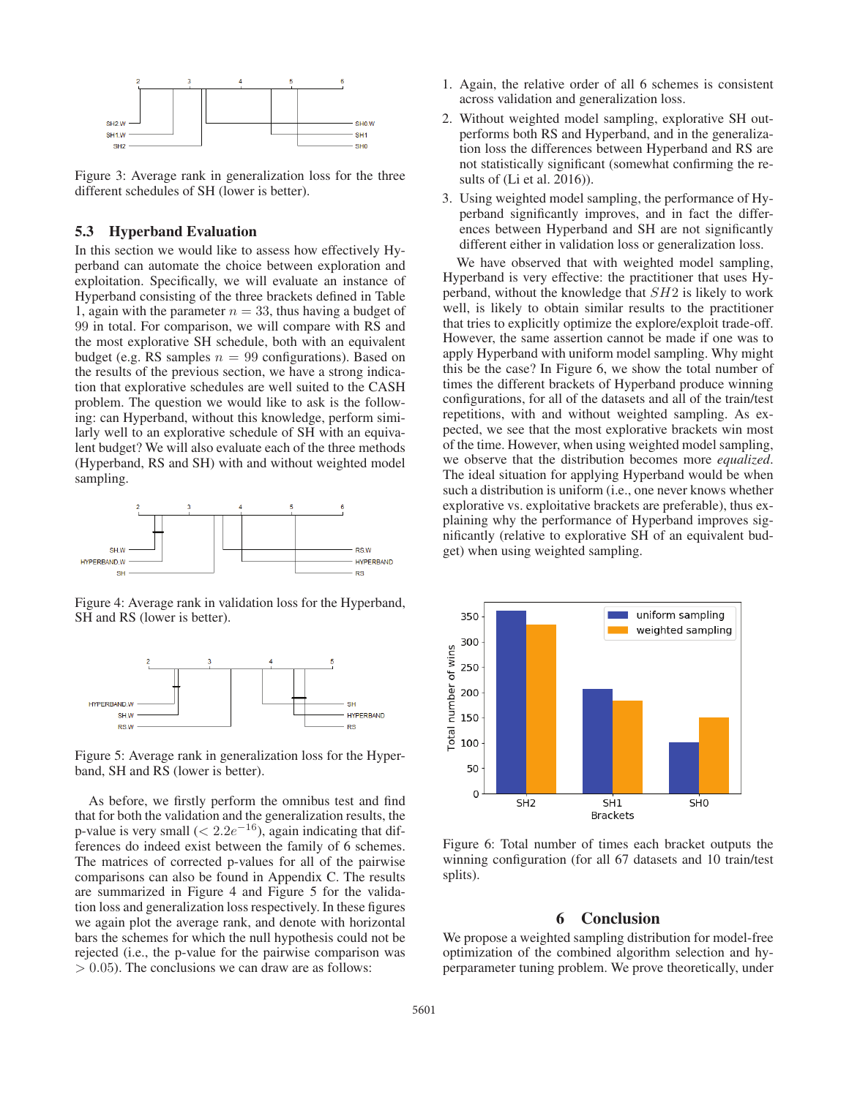

Figure 3: Average rank in generalization loss for the three different schedules of SH (lower is better).

#### 5.3 Hyperband Evaluation

In this section we would like to assess how effectively Hyperband can automate the choice between exploration and exploitation. Specifically, we will evaluate an instance of Hyperband consisting of the three brackets defined in Table 1, again with the parameter  $n = 33$ , thus having a budget of 99 in total. For comparison, we will compare with RS and the most explorative SH schedule, both with an equivalent budget (e.g. RS samples  $n = 99$  configurations). Based on the results of the previous section, we have a strong indication that explorative schedules are well suited to the CASH problem. The question we would like to ask is the following: can Hyperband, without this knowledge, perform similarly well to an explorative schedule of SH with an equivalent budget? We will also evaluate each of the three methods (Hyperband, RS and SH) with and without weighted model sampling.



Figure 4: Average rank in validation loss for the Hyperband, SH and RS (lower is better).



Figure 5: Average rank in generalization loss for the Hyperband, SH and RS (lower is better).

As before, we firstly perform the omnibus test and find that for both the validation and the generalization results, the p-value is very small  $(< 2.2e^{-16})$ , again indicating that differences do indeed exist between the family of 6 schemes. The matrices of corrected p-values for all of the pairwise comparisons can also be found in Appendix C. The results are summarized in Figure 4 and Figure 5 for the validation loss and generalization loss respectively. In these figures we again plot the average rank, and denote with horizontal bars the schemes for which the null hypothesis could not be rejected (i.e., the p-value for the pairwise comparison was  $> 0.05$ ). The conclusions we can draw are as follows:

- 1. Again, the relative order of all 6 schemes is consistent across validation and generalization loss.
- 2. Without weighted model sampling, explorative SH outperforms both RS and Hyperband, and in the generalization loss the differences between Hyperband and RS are not statistically significant (somewhat confirming the results of (Li et al. 2016)).
- 3. Using weighted model sampling, the performance of Hyperband significantly improves, and in fact the differences between Hyperband and SH are not significantly different either in validation loss or generalization loss.

We have observed that with weighted model sampling, Hyperband is very effective: the practitioner that uses Hyperband, without the knowledge that SH2 is likely to work well, is likely to obtain similar results to the practitioner that tries to explicitly optimize the explore/exploit trade-off. However, the same assertion cannot be made if one was to apply Hyperband with uniform model sampling. Why might this be the case? In Figure 6, we show the total number of times the different brackets of Hyperband produce winning configurations, for all of the datasets and all of the train/test repetitions, with and without weighted sampling. As expected, we see that the most explorative brackets win most of the time. However, when using weighted model sampling, we observe that the distribution becomes more *equalized*. The ideal situation for applying Hyperband would be when such a distribution is uniform (i.e., one never knows whether explorative vs. exploitative brackets are preferable), thus explaining why the performance of Hyperband improves significantly (relative to explorative SH of an equivalent budget) when using weighted sampling.



Figure 6: Total number of times each bracket outputs the winning configuration (for all 67 datasets and 10 train/test splits).

# 6 Conclusion

We propose a weighted sampling distribution for model-free optimization of the combined algorithm selection and hyperparameter tuning problem. We prove theoretically, under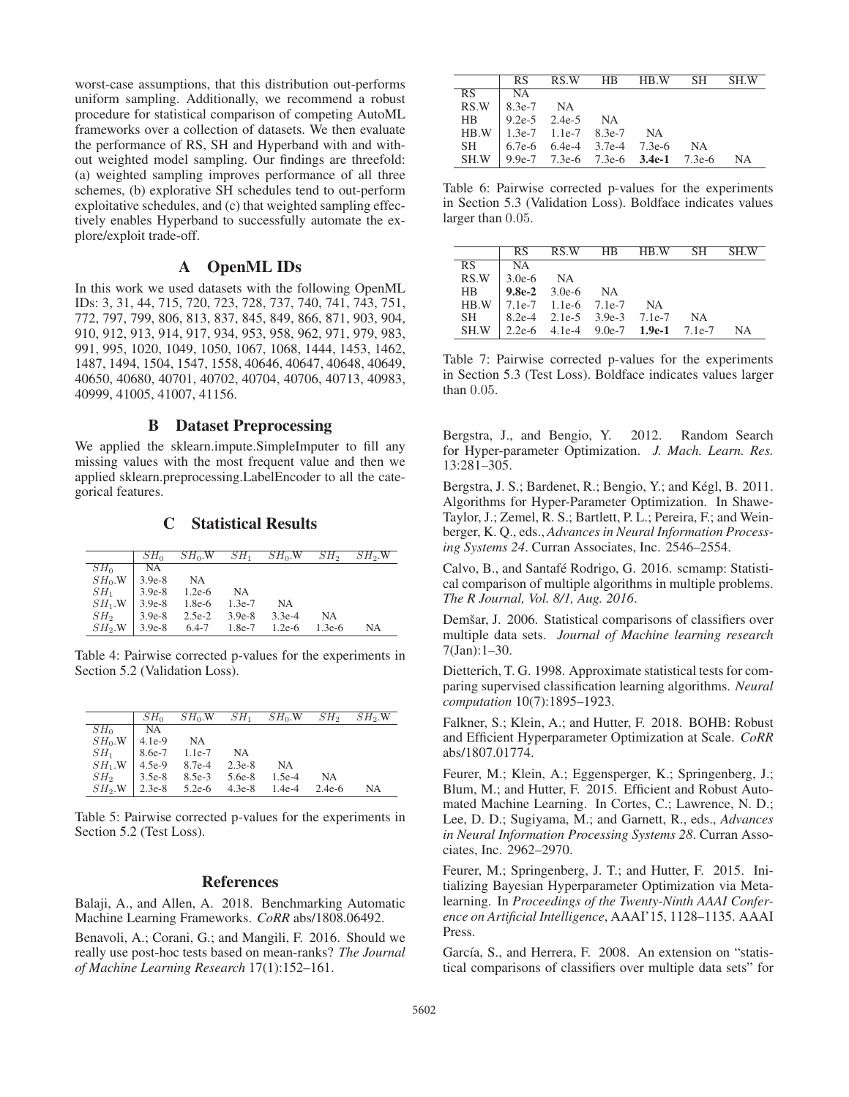worst-case assumptions, that this distribution out-performs uniform sampling. Additionally, we recommend a robust procedure for statistical comparison of competing AutoML frameworks over a collection of datasets. We then evaluate the performance of RS, SH and Hyperband with and without weighted model sampling. Our findings are threefold: (a) weighted sampling improves performance of all three schemes, (b) explorative SH schedules tend to out-perform exploitative schedules, and (c) that weighted sampling effectively enables Hyperband to successfully automate the explore/exploit trade-off.

# A OpenML IDs

In this work we used datasets with the following OpenML IDs: 3, 31, 44, 715, 720, 723, 728, 737, 740, 741, 743, 751, 772, 797, 799, 806, 813, 837, 845, 849, 866, 871, 903, 904, 910, 912, 913, 914, 917, 934, 953, 958, 962, 971, 979, 983, 991, 995, 1020, 1049, 1050, 1067, 1068, 1444, 1453, 1462, 1487, 1494, 1504, 1547, 1558, 40646, 40647, 40648, 40649, 40650, 40680, 40701, 40702, 40704, 40706, 40713, 40983, 40999, 41005, 41007, 41156.

# B Dataset Preprocessing

We applied the sklearn.impute.SimpleImputer to fill any missing values with the most frequent value and then we applied sklearn.preprocessing.LabelEncoder to all the categorical features.

## C Statistical Results

|                 | $SH_0$    | $SH_0.W$  | $SH_1$   | $SH_0.W$  | SH <sub>2</sub> | $SH2$ .W |
|-----------------|-----------|-----------|----------|-----------|-----------------|----------|
| $SH_0$          | <b>NA</b> |           |          |           |                 |          |
| $SH_0$ .W       | $3.9e-8$  | <b>NA</b> |          |           |                 |          |
| $SH_1$          | $3.9e-8$  | $1.2e-6$  | NA       |           |                 |          |
| $SH_1.W$ 3.9e-8 |           | 1.8e-6    | $1.3e-7$ | <b>NA</b> |                 |          |
| SH <sub>2</sub> | $3.9e-8$  | 2.5e-2    | $3.9e-8$ | $3.3e-4$  | NA              |          |
| $SH_2.W$ 3.9e-8 |           | $6.4 - 7$ | 1.8e-7   | $1.2e-6$  | $1.3e-6$        | NA       |

Table 4: Pairwise corrected p-values for the experiments in Section 5.2 (Validation Loss).

|                 | $SH_0$    | $SH_0$ .W | $SH_1$   | $SH_0$ .W | SH <sub>2</sub> | $SH_2.W$ |
|-----------------|-----------|-----------|----------|-----------|-----------------|----------|
| $SH_0$          | <b>NA</b> |           |          |           |                 |          |
| $SH_0$ .W       | $4.1e-9$  | NA        |          |           |                 |          |
| $SH_1$          | 8.6e-7    | $1.1e-7$  | NA       |           |                 |          |
| $SH_1.W$        | $4.5e-9$  | 8.7e-4    | $2.3e-8$ | NА        |                 |          |
| SH <sub>2</sub> | $3.5e-8$  | $8.5e-3$  | 5.6e-8   | $1.5e-4$  | NA              |          |
| $SH_2.W$        | $2.3e-8$  | $5.2e-6$  | $4.3e-8$ | $1.4e-4$  | $2.4e-6$        | NА       |

Table 5: Pairwise corrected p-values for the experiments in Section 5.2 (Test Loss).

# References

Balaji, A., and Allen, A. 2018. Benchmarking Automatic Machine Learning Frameworks. *CoRR* abs/1808.06492.

Benavoli, A.; Corani, G.; and Mangili, F. 2016. Should we really use post-hoc tests based on mean-ranks? *The Journal of Machine Learning Research* 17(1):152–161.

|     | RS.                   |                                  | RS.W HB HB.W SH                     |                                            | -SH W |
|-----|-----------------------|----------------------------------|-------------------------------------|--------------------------------------------|-------|
| RS. | ∣ NA                  |                                  |                                     |                                            |       |
|     | $RS.W \mid 8.3e-7$ NA |                                  |                                     |                                            |       |
|     |                       | HB   9.2e-5 2.4e-5 NA            |                                     |                                            |       |
|     |                       | $HB.W$   1.3e-7 1.1e-7 8.3e-7 NA |                                     |                                            |       |
|     |                       |                                  | SH   6.7e-6 6.4e-4 3.7e-4 7.3e-6 NA |                                            |       |
|     |                       |                                  |                                     | SH.W 9.9e-7 7.3e-6 7.3e-6 3.4e-1 7.3e-6 NA |       |

Table 6: Pairwise corrected p-values for the experiments in Section 5.3 (Validation Loss). Boldface indicates values larger than 0.05.

|      | RS.         |                         | RS.W HB HB.W                        |                                                 | - SH | SH W |
|------|-------------|-------------------------|-------------------------------------|-------------------------------------------------|------|------|
| RS.  | NA.         |                         |                                     |                                                 |      |      |
| RS.W | $3.0e-6$ NA |                         |                                     |                                                 |      |      |
| HB.  |             | <b>9.8e-2</b> 3.0e-6 NA |                                     |                                                 |      |      |
|      |             |                         | $HB.W$   7.1e-7 1.1e-6 7.1e-7 NA    |                                                 |      |      |
| SH - |             |                         | $8.2e-4$ $2.1e-5$ $3.9e-3$ $7.1e-7$ |                                                 | NA   |      |
| SH.W |             |                         |                                     | 2.2e-6 $4.1e-4$ $9.0e-7$ <b>1.9e-1</b> $7.1e-7$ |      | - NA |

Table 7: Pairwise corrected p-values for the experiments in Section 5.3 (Test Loss). Boldface indicates values larger than 0.05.

Bergstra, J., and Bengio, Y. 2012. Random Search for Hyper-parameter Optimization. *J. Mach. Learn. Res.* 13:281–305.

Bergstra, J. S.; Bardenet, R.; Bengio, Y.; and Kégl, B. 2011. Algorithms for Hyper-Parameter Optimization. In Shawe-Taylor, J.; Zemel, R. S.; Bartlett, P. L.; Pereira, F.; and Weinberger, K. Q., eds., *Advances in Neural Information Processing Systems 24*. Curran Associates, Inc. 2546–2554.

Calvo, B., and Santafé Rodrigo, G. 2016. scmamp: Statistical comparison of multiple algorithms in multiple problems. *The R Journal, Vol. 8/1, Aug. 2016*.

Demšar, J. 2006. Statistical comparisons of classifiers over multiple data sets. *Journal of Machine learning research* 7(Jan):1–30.

Dietterich, T. G. 1998. Approximate statistical tests for comparing supervised classification learning algorithms. *Neural computation* 10(7):1895–1923.

Falkner, S.; Klein, A.; and Hutter, F. 2018. BOHB: Robust and Efficient Hyperparameter Optimization at Scale. *CoRR* abs/1807.01774.

Feurer, M.; Klein, A.; Eggensperger, K.; Springenberg, J.; Blum, M.; and Hutter, F. 2015. Efficient and Robust Automated Machine Learning. In Cortes, C.; Lawrence, N. D.; Lee, D. D.; Sugiyama, M.; and Garnett, R., eds., *Advances in Neural Information Processing Systems 28*. Curran Associates, Inc. 2962–2970.

Feurer, M.; Springenberg, J. T.; and Hutter, F. 2015. Initializing Bayesian Hyperparameter Optimization via Metalearning. In *Proceedings of the Twenty-Ninth AAAI Conference on Artificial Intelligence*, AAAI'15, 1128–1135. AAAI Press.

García, S., and Herrera, F. 2008. An extension on "statistical comparisons of classifiers over multiple data sets" for